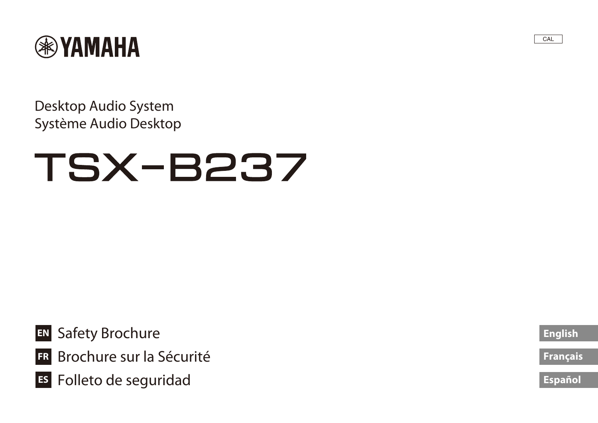

Desktop Audio System Système Audio Desktop

# **TSX-B237**

- **EN** Safety Brochure
- **FR** Brochure sur la Sécurité
- **ES** Folleto de seguridad

**[English](#page-1-0)**

CAL

**[Français](#page-6-0)**

**[Español](#page-11-0)**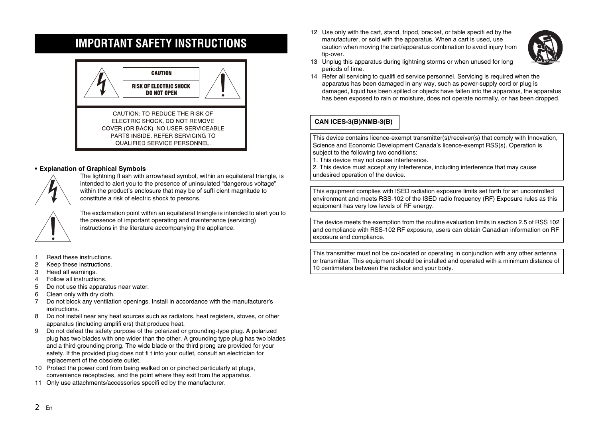#### <span id="page-1-0"></span>**IMPORTANT SAFETY INSTRUCTIONS**



#### **• Explanation of Graphical Symbols**



The lightning fl ash with arrowhead symbol, within an equilateral triangle, is intended to alert you to the presence of uninsulated "dangerous voltage" within the product's enclosure that may be of suffi cient magnitude to constitute a risk of electric shock to persons.



The exclamation point within an equilateral triangle is intended to alert you to the presence of important operating and maintenance (servicing) instructions in the literature accompanying the appliance.

- 1 Read these instructions.
- 2 Keep these instructions.
- 3 Heed all warnings.
- 4 Follow all instructions.
- 5 Do not use this apparatus near water.
- 6 Clean only with dry cloth.
- 7 Do not block any ventilation openings. Install in accordance with the manufacturer's instructions.
- 8 Do not install near any heat sources such as radiators, heat registers, stoves, or other apparatus (including amplifi ers) that produce heat.
- 9 Do not defeat the safety purpose of the polarized or grounding-type plug. A polarized plug has two blades with one wider than the other. A grounding type plug has two blades and a third grounding prong. The wide blade or the third prong are provided for your safety. If the provided plug does not fi t into your outlet, consult an electrician for replacement of the obsolete outlet.
- 10 Protect the power cord from being walked on or pinched particularly at plugs, convenience receptacles, and the point where they exit from the apparatus.
- 11 Only use attachments/accessories specifi ed by the manufacturer.

12 Use only with the cart, stand, tripod, bracket, or table specifi ed by the manufacturer, or sold with the apparatus. When a cart is used, use caution when moving the cart/apparatus combination to avoid injury from tip-over.



- 13 Unplug this apparatus during lightning storms or when unused for long periods of time.
- 14 Refer all servicing to qualifi ed service personnel. Servicing is required when the apparatus has been damaged in any way, such as power-supply cord or plug is damaged, liquid has been spilled or objects have fallen into the apparatus, the apparatus has been exposed to rain or moisture, does not operate normally, or has been dropped.

#### **CAN ICES-3(B)/NMB-3(B)**

This device contains licence-exempt transmitter(s)/receiver(s) that comply with Innovation, Science and Economic Development Canada's licence-exempt RSS(s). Operation is subject to the following two conditions:

1. This device may not cause interference.

2. This device must accept any interference, including interference that may cause undesired operation of the device.

This equipment complies with ISED radiation exposure limits set forth for an uncontrolled environment and meets RSS-102 of the ISED radio frequency (RF) Exposure rules as this equipment has very low levels of RF energy.

The device meets the exemption from the routine evaluation limits in section 2.5 of RSS 102 and compliance with RSS-102 RF exposure, users can obtain Canadian information on RF exposure and compliance.

This transmitter must not be co-located or operating in conjunction with any other antenna or transmitter. This equipment should be installed and operated with a minimum distance of 10 centimeters between the radiator and your body.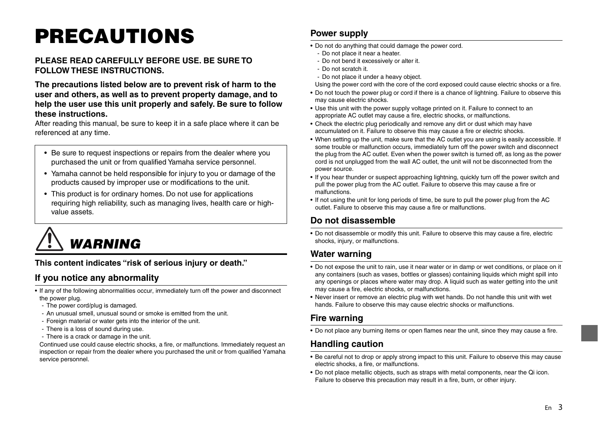## **PRECAUTIONS**

#### **PLEASE READ CAREFULLY BEFORE USE. BE SURE TO FOLLOW THESE INSTRUCTIONS.**

**The precautions listed below are to prevent risk of harm to the user and others, as well as to prevent property damage, and to help the user use this unit properly and safely. Be sure to follow these instructions.**

After reading this manual, be sure to keep it in a safe place where it can be referenced at any time.

- Be sure to request inspections or repairs from the dealer where you purchased the unit or from qualified Yamaha service personnel.
- Yamaha cannot be held responsible for injury to you or damage of the products caused by improper use or modifications to the unit.
- This product is for ordinary homes. Do not use for applications requiring high reliability, such as managing lives, health care or highvalue assets.

 *WARNING*

**This content indicates "risk of serious injury or death."**

#### **If you notice any abnormality**

- If any of the following abnormalities occur, immediately turn off the power and disconnect the power plug.
	- The power cord/plug is damaged.
	- An unusual smell, unusual sound or smoke is emitted from the unit.
	- Foreign material or water gets into the interior of the unit.
	- There is a loss of sound during use.
	- There is a crack or damage in the unit.

Continued use could cause electric shocks, a fire, or malfunctions. Immediately request an inspection or repair from the dealer where you purchased the unit or from qualified Yamaha service personnel.

#### **Power supply**

- Do not do anything that could damage the power cord.
	- Do not place it near a heater.
	- Do not bend it excessively or alter it.
	- Do not scratch it.
	- Do not place it under a heavy object.
- Using the power cord with the core of the cord exposed could cause electric shocks or a fire.
- Do not touch the power plug or cord if there is a chance of lightning. Failure to observe this may cause electric shocks.
- Use this unit with the power supply voltage printed on it. Failure to connect to an appropriate AC outlet may cause a fire, electric shocks, or malfunctions.
- Check the electric plug periodically and remove any dirt or dust which may have accumulated on it. Failure to observe this may cause a fire or electric shocks.
- When setting up the unit, make sure that the AC outlet you are using is easily accessible. If some trouble or malfunction occurs, immediately turn off the power switch and disconnect the plug from the AC outlet. Even when the power switch is turned off, as long as the power cord is not unplugged from the wall AC outlet, the unit will not be disconnected from the power source.
- If you hear thunder or suspect approaching lightning, quickly turn off the power switch and pull the power plug from the AC outlet. Failure to observe this may cause a fire or malfunctions.
- If not using the unit for long periods of time, be sure to pull the power plug from the AC outlet. Failure to observe this may cause a fire or malfunctions.

#### **Do not disassemble**

• Do not disassemble or modify this unit. Failure to observe this may cause a fire, electric shocks, injury, or malfunctions.

#### **Water warning**

- Do not expose the unit to rain, use it near water or in damp or wet conditions, or place on it any containers (such as vases, bottles or glasses) containing liquids which might spill into any openings or places where water may drop. A liquid such as water getting into the unit may cause a fire, electric shocks, or malfunctions.
- Never insert or remove an electric plug with wet hands. Do not handle this unit with wet hands. Failure to observe this may cause electric shocks or malfunctions.

#### **Fire warning**

• Do not place any burning items or open flames near the unit, since they may cause a fire.

#### **Handling caution**

- Be careful not to drop or apply strong impact to this unit. Failure to observe this may cause electric shocks, a fire, or malfunctions.
- Do not place metallic objects, such as straps with metal components, near the Qi icon. Failure to observe this precaution may result in a fire, burn, or other injury.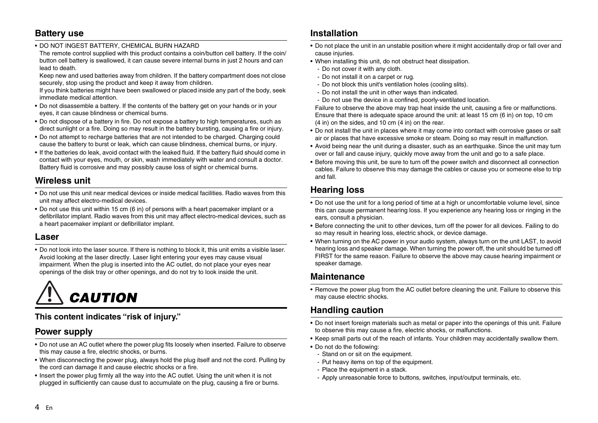#### **Battery use**

• DO NOT INGEST BATTERY, CHEMICAL BURN HAZARD

The remote control supplied with this product contains a coin/button cell battery. If the coin/ button cell battery is swallowed, it can cause severe internal burns in just 2 hours and can lead to death.

Keep new and used batteries away from children. If the battery compartment does not close securely, stop using the product and keep it away from children.

If you think batteries might have been swallowed or placed inside any part of the body, seek immediate medical attention.

- Do not disassemble a battery. If the contents of the battery get on your hands or in your eyes, it can cause blindness or chemical burns.
- Do not dispose of a battery in fire. Do not expose a battery to high temperatures, such as direct sunlight or a fire. Doing so may result in the battery bursting, causing a fire or injury.
- Do not attempt to recharge batteries that are not intended to be charged. Charging could cause the battery to burst or leak, which can cause blindness, chemical burns, or injury.
- If the batteries do leak, avoid contact with the leaked fluid. If the battery fluid should come in contact with your eyes, mouth, or skin, wash immediately with water and consult a doctor. Battery fluid is corrosive and may possibly cause loss of sight or chemical burns.

#### **Wireless unit**

- Do not use this unit near medical devices or inside medical facilities. Radio waves from this unit may affect electro-medical devices.
- Do not use this unit within 15 cm (6 in) of persons with a heart pacemaker implant or a defibrillator implant. Radio waves from this unit may affect electro-medical devices, such as a heart pacemaker implant or defibrillator implant.

#### **Laser**

• Do not look into the laser source. If there is nothing to block it, this unit emits a visible laser. Avoid looking at the laser directly. Laser light entering your eyes may cause visual impairment. When the plug is inserted into the AC outlet, do not place your eyes near openings of the disk tray or other openings, and do not try to look inside the unit.

 *CAUTION*

#### **This content indicates "risk of injury."**

#### **Power supply**

- Do not use an AC outlet where the power plug fits loosely when inserted. Failure to observe this may cause a fire, electric shocks, or burns.
- When disconnecting the power plug, always hold the plug itself and not the cord. Pulling by the cord can damage it and cause electric shocks or a fire.
- Insert the power plug firmly all the way into the AC outlet. Using the unit when it is not plugged in sufficiently can cause dust to accumulate on the plug, causing a fire or burns.

#### **Installation**

- Do not place the unit in an unstable position where it might accidentally drop or fall over and cause injuries.
- When installing this unit, do not obstruct heat dissipation.
	- Do not cover it with any cloth.
	- Do not install it on a carpet or rug.
	- Do not block this unit's ventilation holes (cooling slits).
	- Do not install the unit in other ways than indicated.
	- Do not use the device in a confined, poorly-ventilated location.

Failure to observe the above may trap heat inside the unit, causing a fire or malfunctions. Ensure that there is adequate space around the unit: at least 15 cm (6 in) on top, 10 cm (4 in) on the sides, and 10 cm (4 in) on the rear.

- Do not install the unit in places where it may come into contact with corrosive gases or salt air or places that have excessive smoke or steam. Doing so may result in malfunction.
- Avoid being near the unit during a disaster, such as an earthquake. Since the unit may turn over or fall and cause injury, quickly move away from the unit and go to a safe place.
- Before moving this unit, be sure to turn off the power switch and disconnect all connection cables. Failure to observe this may damage the cables or cause you or someone else to trip and fall.

#### **Hearing loss**

- Do not use the unit for a long period of time at a high or uncomfortable volume level, since this can cause permanent hearing loss. If you experience any hearing loss or ringing in the ears, consult a physician.
- Before connecting the unit to other devices, turn off the power for all devices. Failing to do so may result in hearing loss, electric shock, or device damage.
- When turning on the AC power in your audio system, always turn on the unit LAST, to avoid hearing loss and speaker damage. When turning the power off, the unit should be turned off FIRST for the same reason. Failure to observe the above may cause hearing impairment or speaker damage.

#### **Maintenance**

• Remove the power plug from the AC outlet before cleaning the unit. Failure to observe this may cause electric shocks.

#### **Handling caution**

- Do not insert foreign materials such as metal or paper into the openings of this unit. Failure to observe this may cause a fire, electric shocks, or malfunctions.
- Keep small parts out of the reach of infants. Your children may accidentally swallow them.
- Do not do the following:
	- Stand on or sit on the equipment.
	- Put heavy items on top of the equipment.
	- Place the equipment in a stack.
	- Apply unreasonable force to buttons, switches, input/output terminals, etc.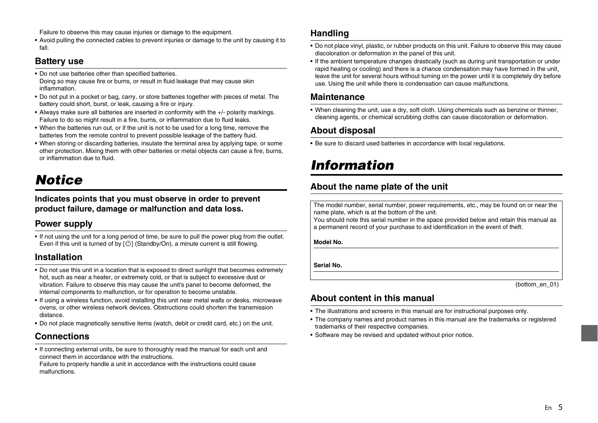Failure to observe this may cause injuries or damage to the equipment.

• Avoid pulling the connected cables to prevent injuries or damage to the unit by causing it to fall.

#### **Battery use**

- Do not use batteries other than specified batteries. Doing so may cause fire or burns, or result in fluid leakage that may cause skin inflammation.
- Do not put in a pocket or bag, carry, or store batteries together with pieces of metal. The battery could short, burst, or leak, causing a fire or injury.
- Always make sure all batteries are inserted in conformity with the +/- polarity markings. Failure to do so might result in a fire, burns, or inflammation due to fluid leaks.
- When the batteries run out, or if the unit is not to be used for a long time, remove the batteries from the remote control to prevent possible leakage of the battery fluid.
- When storing or discarding batteries, insulate the terminal area by applying tape, or some other protection. Mixing them with other batteries or metal objects can cause a fire, burns, or inflammation due to fluid.

### *Notice*

**Indicates points that you must observe in order to prevent product failure, damage or malfunction and data loss.**

#### **Power supply**

• If not using the unit for a long period of time, be sure to pull the power plug from the outlet. Even if this unit is turned of by  $[\circlearrowleft]$  (Standby/On), a minute current is still flowing.

#### **Installation**

- Do not use this unit in a location that is exposed to direct sunlight that becomes extremely hot, such as near a heater, or extremely cold, or that is subject to excessive dust or vibration. Failure to observe this may cause the unit's panel to become deformed, the internal components to malfunction, or for operation to become unstable.
- If using a wireless function, avoid installing this unit near metal walls or desks, microwave ovens, or other wireless network devices. Obstructions could shorten the transmission distance.
- Do not place magnetically sensitive items (watch, debit or credit card, etc.) on the unit.

#### **Connections**

• If connecting external units, be sure to thoroughly read the manual for each unit and connect them in accordance with the instructions.

Failure to properly handle a unit in accordance with the instructions could cause malfunctions.

#### **Handling**

- Do not place vinyl, plastic, or rubber products on this unit. Failure to observe this may cause discoloration or deformation in the panel of this unit.
- If the ambient temperature changes drastically (such as during unit transportation or under rapid heating or cooling) and there is a chance condensation may have formed in the unit, leave the unit for several hours without turning on the power until it is completely dry before use. Using the unit while there is condensation can cause malfunctions.

#### **Maintenance**

• When cleaning the unit, use a dry, soft cloth. Using chemicals such as benzine or thinner, cleaning agents, or chemical scrubbing cloths can cause discoloration or deformation.

#### **About disposal**

• Be sure to discard used batteries in accordance with local regulations.

### *Information*

#### **About the name plate of the unit**

The model number, serial number, power requirements, etc., may be found on or near the name plate, which is at the bottom of the unit.

You should note this serial number in the space provided below and retain this manual as a permanent record of your purchase to aid identification in the event of theft.

**Model No.** 

**Serial No.**

(bottom\_en\_01)

#### **About content in this manual**

- The illustrations and screens in this manual are for instructional purposes only.
- The company names and product names in this manual are the trademarks or registered trademarks of their respective companies.
- Software may be revised and updated without prior notice.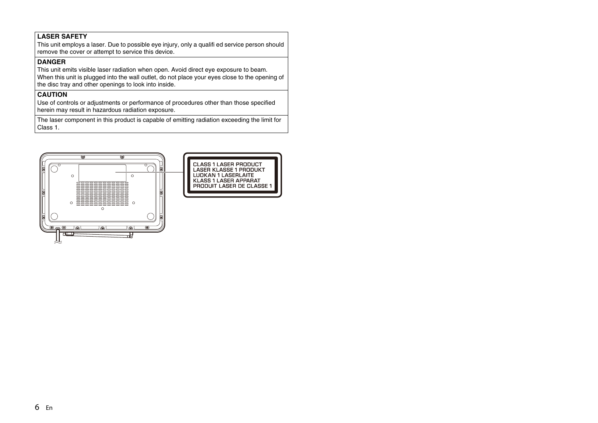#### **LASER SAFETY**

This unit employs a laser. Due to possible eye injury, only a qualifi ed service person should remove the cover or attempt to service this device.

#### **DANGER**

This unit emits visible laser radiation when open. Avoid direct eye exposure to beam. When this unit is plugged into the wall outlet, do not place your eyes close to the opening of the disc tray and other openings to look into inside.

#### **CAUTION**

Use of controls or adjustments or performance of procedures other than those specified herein may result in hazardous radiation exposure.

The laser component in this product is capable of emitting radiation exceeding the limit for Class 1.

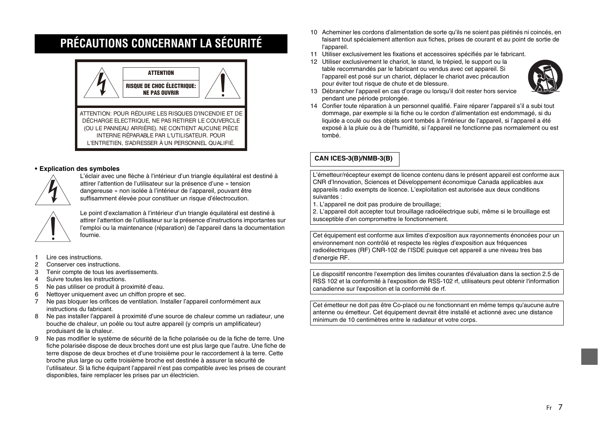### <span id="page-6-0"></span>**PRÉCAUTIONS CONCERNANT LA SÉCURITÉ**



#### **• Explication des symboles**



L'éclair avec une flèche à l'intérieur d'un triangle équilatéral est destiné à attirer l'attention de l'utilisateur sur la présence d'une « tension dangereuse » non isolée à l'intérieur de l'appareil, pouvant être suffisamment élevée pour constituer un risque d'électrocution.



Le point d'exclamation à l'intérieur d'un triangle équilatéral est destiné à attirer l'attention de l'utilisateur sur la présence d'instructions importantes sur l'emploi ou la maintenance (réparation) de l'appareil dans la documentation fournie.

- 1 Lire ces instructions.
- 2 Conserver ces instructions.
- 3 Tenir compte de tous les avertissements.
- 4 Suivre toutes les instructions.
- 5 Ne pas utiliser ce produit à proximité d'eau.
- 6 Nettoyer uniquement avec un chiffon propre et sec.
- 7 Ne pas bloquer les orifices de ventilation. Installer l'appareil conformément aux instructions du fabricant.
- 8 Ne pas installer l'appareil à proximité d'une source de chaleur comme un radiateur, une bouche de chaleur, un poêle ou tout autre appareil (y compris un amplificateur) produisant de la chaleur.
- 9 Ne pas modifier le système de sécurité de la fiche polarisée ou de la fiche de terre. Une fiche polarisée dispose de deux broches dont une est plus large que l'autre. Une fiche de terre dispose de deux broches et d'une troisième pour le raccordement à la terre. Cette broche plus large ou cette troisième broche est destinée à assurer la sécurité de l'utilisateur. Si la fiche équipant l'appareil n'est pas compatible avec les prises de courant disponibles, faire remplacer les prises par un électricien.
- 10 Acheminer les cordons d'alimentation de sorte qu'ils ne soient pas piétinés ni coincés, en faisant tout spécialement attention aux fiches, prises de courant et au point de sortie de l'appareil.
- 11 Utiliser exclusivement les fixations et accessoires spécifiés par le fabricant.
- 12 Utiliser exclusivement le chariot, le stand, le trépied, le support ou la table recommandés par le fabricant ou vendus avec cet appareil. Si l'appareil est posé sur un chariot, déplacer le chariot avec précaution pour éviter tout risque de chute et de blessure.



- 13 Débrancher l'appareil en cas d'orage ou lorsqu'il doit rester hors service pendant une période prolongée.
- 14 Confier toute réparation à un personnel qualifié. Faire réparer l'appareil s'il a subi tout dommage, par exemple si la fiche ou le cordon d'alimentation est endommagé, si du liquide a coulé ou des objets sont tombés à l'intérieur de l'appareil, si l'appareil a été exposé à la pluie ou à de l'humidité, si l'appareil ne fonctionne pas normalement ou est tombé.

#### **CAN ICES-3(B)/NMB-3(B)**

L'émetteur/récepteur exempt de licence contenu dans le présent appareil est conforme aux CNR d'Innovation, Sciences et Développement économique Canada applicables aux appareils radio exempts de licence. L'exploitation est autorisée aux deux conditions suivantes :

1. L'appareil ne doit pas produire de brouillage;

2. L'appareil doit accepter tout brouillage radioélectrique subi, même si le brouillage est susceptible d'en compromettre le fonctionnement.

Cet équipement est conforme aux limites d'exposition aux rayonnements énoncées pour un environnement non contrôlé et respecte les règles d'exposition aux fréquences radioélectriques (RF) CNR-102 de l'ISDE puisque cet appareil a une niveau tres bas d'energie RF.

Le dispositif rencontre l'exemption des limites courantes d'évaluation dans la section 2.5 de RSS 102 et la conformité à l'exposition de RSS-102 rf, utilisateurs peut obtenir l'information canadienne sur l'exposition et la conformité de rf.

Cet émetteur ne doit pas être Co-placé ou ne fonctionnant en même temps qu'aucune autre antenne ou émetteur. Cet équipement devrait être installé et actionné avec une distance minimum de 10 centimètres entre le radiateur et votre corps.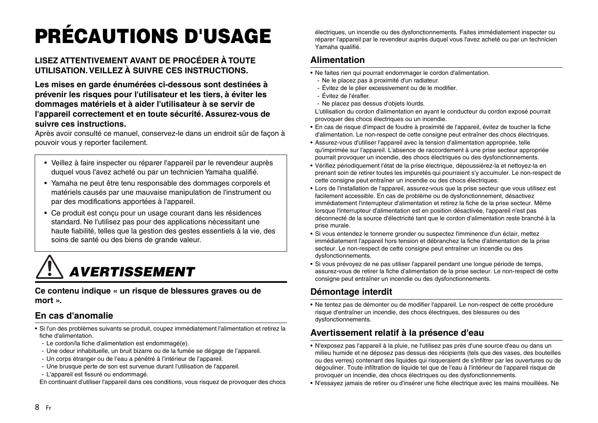## **PRÉCAUTIONS D'USAGE**

#### **LISEZ ATTENTIVEMENT AVANT DE PROCÉDER À TOUTE UTILISATION. VEILLEZ À SUIVRE CES INSTRUCTIONS.**

**Les mises en garde énumérées ci-dessous sont destinées à prévenir les risques pour l'utilisateur et les tiers, à éviter les dommages matériels et à aider l'utilisateur à se servir de l'appareil correctement et en toute sécurité. Assurez-vous de suivre ces instructions.**

Après avoir consulté ce manuel, conservez-le dans un endroit sûr de façon à pouvoir vous y reporter facilement.

- Veillez à faire inspecter ou réparer l'appareil par le revendeur auprès duquel vous l'avez acheté ou par un technicien Yamaha qualifié.
- Yamaha ne peut être tenu responsable des dommages corporels et matériels causés par une mauvaise manipulation de l'instrument ou par des modifications apportées à l'appareil.
- Ce produit est conçu pour un usage courant dans les résidences standard. Ne l'utilisez pas pour des applications nécessitant une haute fiabilité, telles que la gestion des gestes essentiels à la vie, des soins de santé ou des biens de grande valeur.

## *AVERTISSEMENT*

**Ce contenu indique « un risque de blessures graves ou de mort ».**

#### **En cas d'anomalie**

- Si l'un des problèmes suivants se produit, coupez immédiatement l'alimentation et retirez la fiche d'alimentation.
- Le cordon/la fiche d'alimentation est endommagé(e).
- Une odeur inhabituelle, un bruit bizarre ou de la fumée se dégage de l'appareil.
- Un corps étranger ou de l'eau a pénétré à l'intérieur de l'appareil.
- Une brusque perte de son est survenue durant l'utilisation de l'appareil.
- L'appareil est fissuré ou endommagé.

En continuant d'utiliser l'appareil dans ces conditions, vous risquez de provoquer des chocs

électriques, un incendie ou des dysfonctionnements. Faites immédiatement inspecter ou réparer l'appareil par le revendeur auprès duquel vous l'avez acheté ou par un technicien Yamaha qualifié.

#### **Alimentation**

- Ne faites rien qui pourrait endommager le cordon d'alimentation.
	- Ne le placez pas à proximité d'un radiateur.
	- Évitez de le plier excessivement ou de le modifier.
	- Évitez de l'érafler.
	- Ne placez pas dessus d'objets lourds.

L'utilisation du cordon d'alimentation en ayant le conducteur du cordon exposé pourrait provoquer des chocs électriques ou un incendie.

- En cas de risque d'impact de foudre à proximité de l'appareil, évitez de toucher la fiche d'alimentation. Le non-respect de cette consigne peut entraîner des chocs électriques.
- Assurez-vous d'utiliser l'appareil avec la tension d'alimentation appropriée, telle qu'imprimée sur l'appareil. L'absence de raccordement à une prise secteur appropriée pourrait provoquer un incendie, des chocs électriques ou des dysfonctionnements.
- Vérifiez périodiquement l'état de la prise électrique, dépoussiérez-la et nettoyez-la en prenant soin de retirer toutes les impuretés qui pourraient s'y accumuler. Le non-respect de cette consigne peut entraîner un incendie ou des chocs électriques.
- Lors de l'installation de l'appareil, assurez-vous que la prise secteur que vous utilisez est facilement accessible. En cas de problème ou de dysfonctionnement, désactivez immédiatement l'interrupteur d'alimentation et retirez la fiche de la prise secteur. Même lorsque l'interrupteur d'alimentation est en position désactivée, l'appareil n'est pas déconnecté de la source d'électricité tant que le cordon d'alimentation reste branché à la prise murale.
- Si vous entendez le tonnerre gronder ou suspectez l'imminence d'un éclair, mettez immédiatement l'appareil hors tension et débranchez la fiche d'alimentation de la prise secteur. Le non-respect de cette consigne peut entraîner un incendie ou des dysfonctionnements.
- Si vous prévoyez de ne pas utiliser l'appareil pendant une longue période de temps, assurez-vous de retirer la fiche d'alimentation de la prise secteur. Le non-respect de cette consigne peut entraîner un incendie ou des dysfonctionnements.

#### **Démontage interdit**

• Ne tentez pas de démonter ou de modifier l'appareil. Le non-respect de cette procédure risque d'entraîner un incendie, des chocs électriques, des blessures ou des dysfonctionnements.

#### **Avertissement relatif à la présence d'eau**

- N'exposez pas l'appareil à la pluie, ne l'utilisez pas près d'une source d'eau ou dans un milieu humide et ne déposez pas dessus des récipients (tels que des vases, des bouteilles ou des verres) contenant des liquides qui risqueraient de s'infiltrer par les ouvertures ou de dégouliner. Toute infiltration de liquide tel que de l'eau à l'intérieur de l'appareil risque de provoquer un incendie, des chocs électriques ou des dysfonctionnements.
- N'essayez jamais de retirer ou d'insérer une fiche électrique avec les mains mouillées. Ne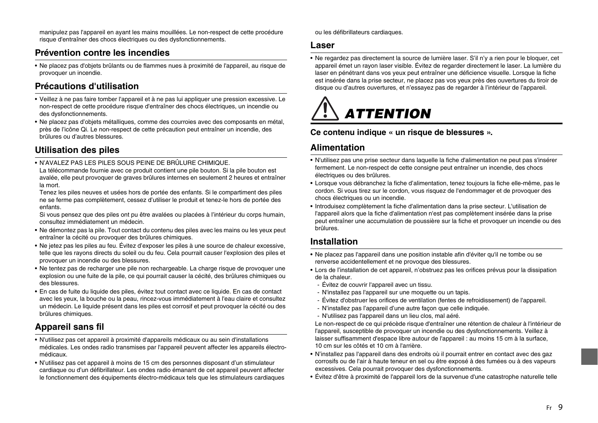manipulez pas l'appareil en ayant les mains mouillées. Le non-respect de cette procédure risque d'entraîner des chocs électriques ou des dysfonctionnements.

#### **Prévention contre les incendies**

• Ne placez pas d'objets brûlants ou de flammes nues à proximité de l'appareil, au risque de provoquer un incendie.

#### **Précautions d'utilisation**

- Veillez à ne pas faire tomber l'appareil et à ne pas lui appliquer une pression excessive. Le non-respect de cette procédure risque d'entraîner des chocs électriques, un incendie ou des dysfonctionnements.
- Ne placez pas d'objets métalliques, comme des courroies avec des composants en métal, près de l'icône Qi. Le non-respect de cette précaution peut entraîner un incendie, des brûlures ou d'autres blessures.

#### **Utilisation des piles**

• N'AVALEZ PAS LES PILES SOUS PEINE DE BRÛLURE CHIMIQUE.

La télécommande fournie avec ce produit contient une pile bouton. Si la pile bouton est avalée, elle peut provoquer de graves brûlures internes en seulement 2 heures et entraîner la mort.

Tenez les piles neuves et usées hors de portée des enfants. Si le compartiment des piles ne se ferme pas complètement, cessez d'utiliser le produit et tenez-le hors de portée des enfants.

Si vous pensez que des piles ont pu être avalées ou placées à l'intérieur du corps humain, consultez immédiatement un médecin.

- Ne démontez pas la pile. Tout contact du contenu des piles avec les mains ou les yeux peut entraîner la cécité ou provoquer des brûlures chimiques.
- Ne jetez pas les piles au feu. Évitez d'exposer les piles à une source de chaleur excessive, telle que les rayons directs du soleil ou du feu. Cela pourrait causer l'explosion des piles et provoquer un incendie ou des blessures.
- Ne tentez pas de recharger une pile non rechargeable. La charge risque de provoquer une explosion ou une fuite de la pile, ce qui pourrait causer la cécité, des brûlures chimiques ou des blessures.
- En cas de fuite du liquide des piles, évitez tout contact avec ce liquide. En cas de contact avec les yeux, la bouche ou la peau, rincez-vous immédiatement à l'eau claire et consultez un médecin. Le liquide présent dans les piles est corrosif et peut provoquer la cécité ou des brûlures chimiques.

#### **Appareil sans fil**

- N'utilisez pas cet appareil à proximité d'appareils médicaux ou au sein d'installations médicales. Les ondes radio transmises par l'appareil peuvent affecter les appareils électromédicaux.
- N'utilisez pas cet appareil à moins de 15 cm des personnes disposant d'un stimulateur cardiaque ou d'un défibrillateur. Les ondes radio émanant de cet appareil peuvent affecter le fonctionnement des équipements électro-médicaux tels que les stimulateurs cardiaques

ou les défibrillateurs cardiaques.

#### **Laser**

• Ne regardez pas directement la source de lumière laser. S'il n'y a rien pour le bloquer, cet appareil émet un rayon laser visible. Évitez de regarder directement le laser. La lumière du laser en pénétrant dans vos yeux peut entraîner une déficience visuelle. Lorsque la fiche est insérée dans la prise secteur, ne placez pas vos yeux près des ouvertures du tiroir de disque ou d'autres ouvertures, et n'essayez pas de regarder à l'intérieur de l'appareil.

## *ATTENTION*

#### **Ce contenu indique « un risque de blessures ».**

#### **Alimentation**

- N'utilisez pas une prise secteur dans laquelle la fiche d'alimentation ne peut pas s'insérer fermement. Le non-respect de cette consigne peut entraîner un incendie, des chocs électriques ou des brûlures.
- Lorsque vous débranchez la fiche d'alimentation, tenez toujours la fiche elle-même, pas le cordon. Si vous tirez sur le cordon, vous risquez de l'endommager et de provoquer des chocs électriques ou un incendie.
- Introduisez complètement la fiche d'alimentation dans la prise secteur. L'utilisation de l'appareil alors que la fiche d'alimentation n'est pas complètement insérée dans la prise peut entraîner une accumulation de poussière sur la fiche et provoquer un incendie ou des brûlures.

#### **Installation**

- Ne placez pas l'appareil dans une position instable afin d'éviter qu'il ne tombe ou se renverse accidentellement et ne provoque des blessures.
- Lors de l'installation de cet appareil, n'obstruez pas les orifices prévus pour la dissipation de la chaleur.
	- Évitez de couvrir l'appareil avec un tissu.
	- N'installez pas l'appareil sur une moquette ou un tapis.
	- Évitez d'obstruer les orifices de ventilation (fentes de refroidissement) de l'appareil.
	- N'installez pas l'appareil d'une autre façon que celle indiquée.
	- N'utilisez pas l'appareil dans un lieu clos, mal aéré.

Le non-respect de ce qui précède risque d'entraîner une rétention de chaleur à l'intérieur de l'appareil, susceptible de provoquer un incendie ou des dysfonctionnements. Veillez à laisser suffisamment d'espace libre autour de l'appareil : au moins 15 cm à la surface, 10 cm sur les côtés et 10 cm à l'arrière.

- N'installez pas l'appareil dans des endroits où il pourrait entrer en contact avec des gaz corrosifs ou de l'air à haute teneur en sel ou être exposé à des fumées ou à des vapeurs excessives. Cela pourrait provoquer des dysfonctionnements.
- Évitez d'être à proximité de l'appareil lors de la survenue d'une catastrophe naturelle telle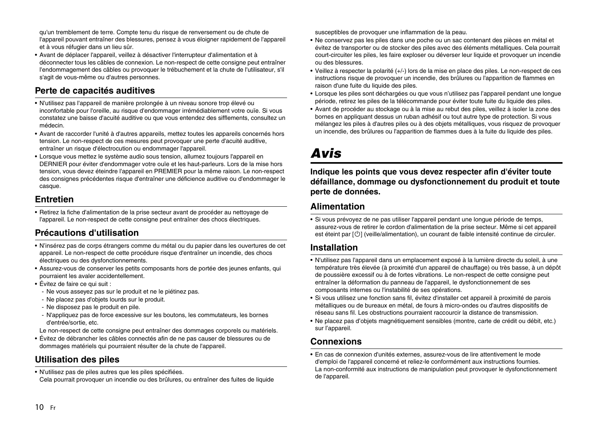qu'un tremblement de terre. Compte tenu du risque de renversement ou de chute de l'appareil pouvant entraîner des blessures, pensez à vous éloigner rapidement de l'appareil et à vous réfugier dans un lieu sûr.

• Avant de déplacer l'appareil, veillez à désactiver l'interrupteur d'alimentation et à déconnecter tous les câbles de connexion. Le non-respect de cette consigne peut entraîner l'endommagement des câbles ou provoquer le trébuchement et la chute de l'utilisateur, s'il s'agit de vous-même ou d'autres personnes.

#### **Perte de capacités auditives**

- N'utilisez pas l'appareil de manière prolongée à un niveau sonore trop élevé ou inconfortable pour l'oreille, au risque d'endommager irrémédiablement votre ouïe. Si vous constatez une baisse d'acuité auditive ou que vous entendez des sifflements, consultez un médecin.
- Avant de raccorder l'unité à d'autres appareils, mettez toutes les appareils concernés hors tension. Le non-respect de ces mesures peut provoquer une perte d'acuité auditive, entraîner un risque d'électrocution ou endommager l'appareil.
- Lorsque vous mettez le système audio sous tension, allumez toujours l'appareil en DERNIER pour éviter d'endommager votre ouïe et les haut-parleurs. Lors de la mise hors tension, vous devez éteindre l'appareil en PREMIER pour la même raison. Le non-respect des consignes précédentes risque d'entraîner une déficience auditive ou d'endommager le casque.

#### **Entretien**

• Retirez la fiche d'alimentation de la prise secteur avant de procéder au nettoyage de l'appareil. Le non-respect de cette consigne peut entraîner des chocs électriques.

#### **Précautions d'utilisation**

- N'insérez pas de corps étrangers comme du métal ou du papier dans les ouvertures de cet appareil. Le non-respect de cette procédure risque d'entraîner un incendie, des chocs électriques ou des dysfonctionnements.
- Assurez-vous de conserver les petits composants hors de portée des jeunes enfants, qui pourraient les avaler accidentellement.
- Évitez de faire ce qui suit :
	- Ne vous asseyez pas sur le produit et ne le piétinez pas.
- Ne placez pas d'objets lourds sur le produit.
- Ne disposez pas le produit en pile.
- N'appliquez pas de force excessive sur les boutons, les commutateurs, les bornes d'entrée/sortie, etc.
- Le non-respect de cette consigne peut entraîner des dommages corporels ou matériels.
- Évitez de débrancher les câbles connectés afin de ne pas causer de blessures ou de dommages matériels qui pourraient résulter de la chute de l'appareil.

#### **Utilisation des piles**

• N'utilisez pas de piles autres que les piles spécifiées. Cela pourrait provoquer un incendie ou des brûlures, ou entraîner des fuites de liquide susceptibles de provoquer une inflammation de la peau.

- Ne conservez pas les piles dans une poche ou un sac contenant des pièces en métal et évitez de transporter ou de stocker des piles avec des éléments métalliques. Cela pourrait court-circuiter les piles, les faire exploser ou déverser leur liquide et provoquer un incendie ou des blessures.
- Veillez à respecter la polarité (+/-) lors de la mise en place des piles. Le non-respect de ces instructions risque de provoquer un incendie, des brûlures ou l'apparition de flammes en raison d'une fuite du liquide des piles.
- Lorsque les piles sont déchargées ou que vous n'utilisez pas l'appareil pendant une longue période, retirez les piles de la télécommande pour éviter toute fuite du liquide des piles.
- Avant de procéder au stockage ou à la mise au rebut des piles, veillez à isoler la zone des bornes en appliquant dessus un ruban adhésif ou tout autre type de protection. Si vous mélangez les piles à d'autres piles ou à des objets métalliques, vous risquez de provoquer un incendie, des brûlures ou l'apparition de flammes dues à la fuite du liquide des piles.

## *Avis*

**Indique les points que vous devez respecter afin d'éviter toute défaillance, dommage ou dysfonctionnement du produit et toute perte de données.**

#### **Alimentation**

• Si vous prévoyez de ne pas utiliser l'appareil pendant une longue période de temps, assurez-vous de retirer le cordon d'alimentation de la prise secteur. Même si cet appareil est éteint par  $[\circlearrowleft]$  (veille/alimentation), un courant de faible intensité continue de circuler.

#### **Installation**

- N'utilisez pas l'appareil dans un emplacement exposé à la lumière directe du soleil, à une température très élevée (à proximité d'un appareil de chauffage) ou très basse, à un dépôt de poussière excessif ou à de fortes vibrations. Le non-respect de cette consigne peut entraîner la déformation du panneau de l'appareil, le dysfonctionnement de ses composants internes ou l'instabilité de ses opérations.
- Si vous utilisez une fonction sans fil, évitez d'installer cet appareil à proximité de parois métalliques ou de bureaux en métal, de fours à micro-ondes ou d'autres dispositifs de réseau sans fil. Les obstructions pourraient raccourcir la distance de transmission.
- Ne placez pas d'objets magnétiquement sensibles (montre, carte de crédit ou débit, etc.) sur l'appareil.

#### **Connexions**

• En cas de connexion d'unités externes, assurez-vous de lire attentivement le mode d'emploi de l'appareil concerné et reliez-le conformément aux instructions fournies. La non-conformité aux instructions de manipulation peut provoquer le dysfonctionnement de l'appareil.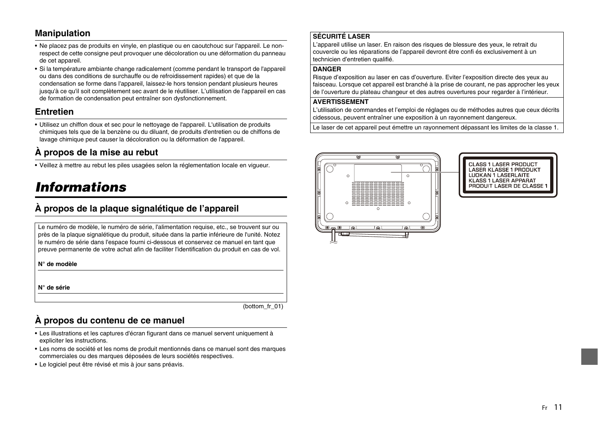#### **Manipulation**

- Ne placez pas de produits en vinyle, en plastique ou en caoutchouc sur l'appareil. Le nonrespect de cette consigne peut provoquer une décoloration ou une déformation du panneau de cet appareil.
- Si la température ambiante change radicalement (comme pendant le transport de l'appareil ou dans des conditions de surchauffe ou de refroidissement rapides) et que de la condensation se forme dans l'appareil, laissez-le hors tension pendant plusieurs heures jusqu'à ce qu'il soit complètement sec avant de le réutiliser. L'utilisation de l'appareil en cas de formation de condensation peut entraîner son dysfonctionnement.

#### **Entretien**

• Utilisez un chiffon doux et sec pour le nettoyage de l'appareil. L'utilisation de produits chimiques tels que de la benzène ou du diluant, de produits d'entretien ou de chiffons de lavage chimique peut causer la décoloration ou la déformation de l'appareil.

#### **À propos de la mise au rebut**

• Veillez à mettre au rebut les piles usagées selon la réglementation locale en vigueur.

### *Informations*

#### **À propos de la plaque signalétique de l'appareil**

Le numéro de modèle, le numéro de série, l'alimentation requise, etc., se trouvent sur ou près de la plaque signalétique du produit, située dans la partie inférieure de l'unité. Notez le numéro de série dans l'espace fourni ci-dessous et conservez ce manuel en tant que preuve permanente de votre achat afin de faciliter l'identification du produit en cas de vol.

**N° de modèle** 

**N° de série**

(bottom\_fr\_01)

#### **À propos du contenu de ce manuel**

- Les illustrations et les captures d'écran figurant dans ce manuel servent uniquement à expliciter les instructions.
- Les noms de société et les noms de produit mentionnés dans ce manuel sont des marques commerciales ou des marques déposées de leurs sociétés respectives.
- Le logiciel peut être révisé et mis à jour sans préavis.

#### **SÉCURITÉ LASER**

L'appareil utilise un laser. En raison des risques de blessure des yeux, le retrait du couvercle ou les réparations de l'appareil devront être confi és exclusivement à un technicien d'entretien qualifié.

#### **DANGER**

Risque d'exposition au laser en cas d'ouverture. Eviter l'exposition directe des yeux au faisceau. Lorsque cet appareil est branché à la prise de courant, ne pas approcher les yeux de l'ouverture du plateau changeur et des autres ouvertures pour regarder à l'intérieur.

#### **AVERTISSEMENT**

L'utilisation de commandes et l'emploi de réglages ou de méthodes autres que ceux décrits cidessous, peuvent entraîner une exposition à un rayonnement dangereux.

Le laser de cet appareil peut émettre un rayonnement dépassant les limites de la classe 1.



**CLASS 1 LASER PRODUCT** LASER KLASSE 1 PRODUKT **LUOKAN 1 LASERLAITE KLASS 1 LASER APPARAT** PRODUIT LASER DE CLASSE 1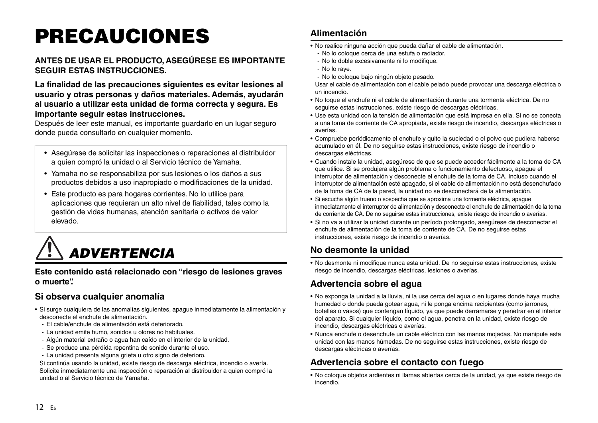## <span id="page-11-0"></span>**PRECAUCIONES**

#### **ANTES DE USAR EL PRODUCTO, ASEGÚRESE ES IMPORTANTE SEGUIR ESTAS INSTRUCCIONES.**

**La finalidad de las precauciones siguientes es evitar lesiones al usuario y otras personas y daños materiales. Además, ayudarán al usuario a utilizar esta unidad de forma correcta y segura. Es importante seguir estas instrucciones.**

Después de leer este manual, es importante guardarlo en un lugar seguro donde pueda consultarlo en cualquier momento.

- Asegúrese de solicitar las inspecciones o reparaciones al distribuidor a quien compró la unidad o al Servicio técnico de Yamaha.
- Yamaha no se responsabiliza por sus lesiones o los daños a sus productos debidos a uso inapropiado o modificaciones de la unidad.
- Este producto es para hogares corrientes. No lo utilice para aplicaciones que requieran un alto nivel de fiabilidad, tales como la gestión de vidas humanas, atención sanitaria o activos de valor elevado.

 *ADVERTENCIA*

**Este contenido está relacionado con "riesgo de lesiones graves o muerte".**

#### **Si observa cualquier anomalía**

- Si surge cualquiera de las anomalías siguientes, apague inmediatamente la alimentación y desconecte el enchufe de alimentación.
- El cable/enchufe de alimentación está deteriorado.
- La unidad emite humo, sonidos u olores no habituales.
- Algún material extraño o agua han caído en el interior de la unidad.
- Se produce una pérdida repentina de sonido durante el uso.
- La unidad presenta alguna grieta u otro signo de deterioro.

Si continúa usando la unidad, existe riesgo de descarga eléctrica, incendio o avería. Solicite inmediatamente una inspección o reparación al distribuidor a quien compró la unidad o al Servicio técnico de Yamaha.

#### **Alimentación**

- No realice ninguna acción que pueda dañar el cable de alimentación.
	- No lo coloque cerca de una estufa o radiador.
	- No lo doble excesivamente ni lo modifique.
	- No lo raye.
	- No lo coloque bajo ningún objeto pesado.

Usar el cable de alimentación con el cable pelado puede provocar una descarga eléctrica o un incendio.

- No toque el enchufe ni el cable de alimentación durante una tormenta eléctrica. De no seguirse estas instrucciones, existe riesgo de descargas eléctricas.
- Use esta unidad con la tensión de alimentación que está impresa en ella. Si no se conecta a una toma de corriente de CA apropiada, existe riesgo de incendio, descargas eléctricas o averías.
- Compruebe periódicamente el enchufe y quite la suciedad o el polvo que pudiera haberse acumulado en él. De no seguirse estas instrucciones, existe riesgo de incendio o descargas eléctricas.
- Cuando instale la unidad, asegúrese de que se puede acceder fácilmente a la toma de CA que utilice. Si se produjera algún problema o funcionamiento defectuoso, apague el interruptor de alimentación y desconecte el enchufe de la toma de CA. Incluso cuando el interruptor de alimentación esté apagado, si el cable de alimentación no está desenchufado de la toma de CA de la pared, la unidad no se desconectará de la alimentación.
- Si escucha algún trueno o sospecha que se aproxima una tormenta eléctrica, apague inmediatamente el interruptor de alimentación y desconecte el enchufe de alimentación de la toma de corriente de CA. De no seguirse estas instrucciones, existe riesgo de incendio o averías.
- Si no va a utilizar la unidad durante un período prolongado, asegúrese de desconectar el enchufe de alimentación de la toma de corriente de CA. De no seguirse estas instrucciones, existe riesgo de incendio o averías.

#### **No desmonte la unidad**

• No desmonte ni modifique nunca esta unidad. De no seguirse estas instrucciones, existe riesgo de incendio, descargas eléctricas, lesiones o averías.

#### **Advertencia sobre el agua**

- No exponga la unidad a la lluvia, ni la use cerca del agua o en lugares donde haya mucha humedad o donde pueda gotear agua, ni le ponga encima recipientes (como jarrones, botellas o vasos) que contengan líquido, ya que puede derramarse y penetrar en el interior del aparato. Si cualquier líquido, como el agua, penetra en la unidad, existe riesgo de incendio, descargas eléctricas o averías.
- Nunca enchufe o desenchufe un cable eléctrico con las manos mojadas. No manipule esta unidad con las manos húmedas. De no seguirse estas instrucciones, existe riesgo de descargas eléctricas o averías.

#### **Advertencia sobre el contacto con fuego**

• No coloque objetos ardientes ni llamas abiertas cerca de la unidad, ya que existe riesgo de incendio.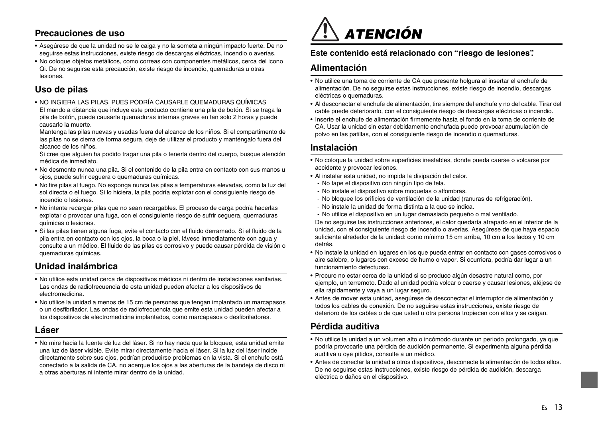#### **Precauciones de uso**

- Asegúrese de que la unidad no se le caiga y no la someta a ningún impacto fuerte. De no seguirse estas instrucciones, existe riesgo de descargas eléctricas, incendio o averías.
- No coloque objetos metálicos, como correas con componentes metálicos, cerca del icono Qi. De no seguirse esta precaución, existe riesgo de incendio, quemaduras u otras lesiones.

#### **Uso de pilas**

• NO INGIERA LAS PILAS, PUES PODRÍA CAUSARLE QUEMADURAS QUÍMICAS El mando a distancia que incluye este producto contiene una pila de botón. Si se traga la pila de botón, puede causarle quemaduras internas graves en tan solo 2 horas y puede causarle la muerte.

Mantenga las pilas nuevas y usadas fuera del alcance de los niños. Si el compartimento de las pilas no se cierra de forma segura, deje de utilizar el producto y manténgalo fuera del alcance de los niños.

Si cree que alguien ha podido tragar una pila o tenerla dentro del cuerpo, busque atención médica de inmediato.

- No desmonte nunca una pila. Si el contenido de la pila entra en contacto con sus manos u ojos, puede sufrir ceguera o quemaduras químicas.
- No tire pilas al fuego. No exponga nunca las pilas a temperaturas elevadas, como la luz del sol directa o el fuego. Si lo hiciera, la pila podría explotar con el consiguiente riesgo de incendio o lesiones.
- No intente recargar pilas que no sean recargables. El proceso de carga podría hacerlas explotar o provocar una fuga, con el consiguiente riesgo de sufrir ceguera, quemaduras químicas o lesiones.
- Si las pilas tienen alguna fuga, evite el contacto con el fluido derramado. Si el fluido de la pila entra en contacto con los ojos, la boca o la piel, lávese inmediatamente con agua y consulte a un médico. El fluido de las pilas es corrosivo y puede causar pérdida de visión o quemaduras químicas.

#### **Unidad inalámbrica**

- No utilice esta unidad cerca de dispositivos médicos ni dentro de instalaciones sanitarias. Las ondas de radiofrecuencia de esta unidad pueden afectar a los dispositivos de electromedicina.
- No utilice la unidad a menos de 15 cm de personas que tengan implantado un marcapasos o un desfibrilador. Las ondas de radiofrecuencia que emite esta unidad pueden afectar a los dispositivos de electromedicina implantados, como marcapasos o desfibriladores.

#### **Láser**

• No mire hacia la fuente de luz del láser. Si no hay nada que la bloquee, esta unidad emite una luz de láser visible. Evite mirar directamente hacia el láser. Si la luz del láser incide directamente sobre sus ojos, podrían producirse problemas en la vista. Si el enchufe está conectado a la salida de CA, no acerque los ojos a las aberturas de la bandeja de disco ni a otras aberturas ni intente mirar dentro de la unidad.



#### **Este contenido está relacionado con "riesgo de lesiones".**

#### **Alimentación**

- No utilice una toma de corriente de CA que presente holgura al insertar el enchufe de alimentación. De no seguirse estas instrucciones, existe riesgo de incendio, descargas eléctricas o quemaduras.
- Al desconectar el enchufe de alimentación, tire siempre del enchufe y no del cable. Tirar del cable puede deteriorarlo, con el consiguiente riesgo de descargas eléctricas o incendio.
- Inserte el enchufe de alimentación firmemente hasta el fondo en la toma de corriente de CA. Usar la unidad sin estar debidamente enchufada puede provocar acumulación de polvo en las patillas, con el consiguiente riesgo de incendio o quemaduras.

#### **Instalación**

- No coloque la unidad sobre superficies inestables, donde pueda caerse o volcarse por accidente y provocar lesiones.
- Al instalar esta unidad, no impida la disipación del calor.
	- No tape el dispositivo con ningún tipo de tela.
	- No instale el dispositivo sobre moquetas o alfombras.
	- No bloquee los orificios de ventilación de la unidad (ranuras de refrigeración).
	- No instale la unidad de forma distinta a la que se indica.
	- No utilice el dispositivo en un lugar demasiado pequeño o mal ventilado.

De no seguirse las instrucciones anteriores, el calor quedaría atrapado en el interior de la unidad, con el consiguiente riesgo de incendio o averías. Asegúrese de que haya espacio suficiente alrededor de la unidad: como mínimo 15 cm arriba, 10 cm a los lados y 10 cm detrás.

- No instale la unidad en lugares en los que pueda entrar en contacto con gases corrosivos o aire salobre, o lugares con exceso de humo o vapor. Si ocurriera, podría dar lugar a un funcionamiento defectuoso.
- Procure no estar cerca de la unidad si se produce algún desastre natural como, por ejemplo, un terremoto. Dado al unidad podría volcar o caerse y causar lesiones, aléjese de ella rápidamente y vaya a un lugar seguro.
- Antes de mover esta unidad, asegúrese de desconectar el interruptor de alimentación y todos los cables de conexión. De no seguirse estas instrucciones, existe riesgo de deterioro de los cables o de que usted u otra persona tropiecen con ellos y se caigan.

#### **Pérdida auditiva**

- No utilice la unidad a un volumen alto o incómodo durante un periodo prolongado, ya que podría provocarle una pérdida de audición permanente. Si experimenta alguna pérdida auditiva u oye pitidos, consulte a un médico.
- Antes de conectar la unidad a otros dispositivos, desconecte la alimentación de todos ellos. De no seguirse estas instrucciones, existe riesgo de pérdida de audición, descarga eléctrica o daños en el dispositivo.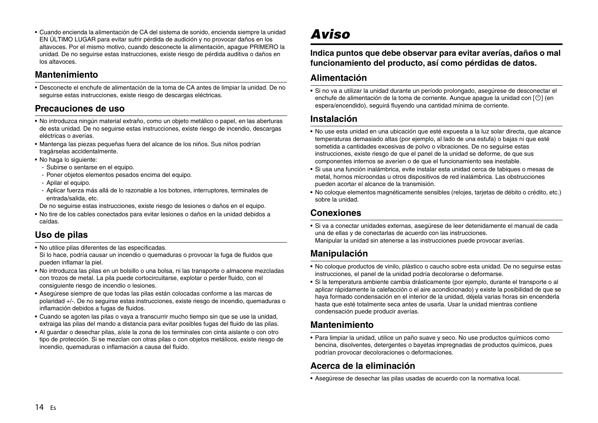• Cuando encienda la alimentación de CA del sistema de sonido, encienda siempre la unidad EN ÚLTIMO LUGAR para evitar sufrir pérdida de audición y no provocar daños en los altavoces. Por el mismo motivo, cuando desconecte la alimentación, apague PRIMERO la unidad. De no seguirse estas instrucciones, existe riesgo de pérdida auditiva o daños en los altavoces.

#### **Mantenimiento**

• Desconecte el enchufe de alimentación de la toma de CA antes de limpiar la unidad. De no seguirse estas instrucciones, existe riesgo de descargas eléctricas.

#### **Precauciones de uso**

- No introduzca ningún material extraño, como un objeto metálico o papel, en las aberturas de esta unidad. De no seguirse estas instrucciones, existe riesgo de incendio, descargas eléctricas o averías.
- Mantenga las piezas pequeñas fuera del alcance de los niños. Sus niños podrían tragárselas accidentalmente.
- No haga lo siguiente:
	- Subirse o sentarse en el equipo.
	- Poner objetos elementos pesados encima del equipo.
	- Apilar el equipo.
	- Aplicar fuerza más allá de lo razonable a los botones, interruptores, terminales de entrada/salida, etc.
- De no seguirse estas instrucciones, existe riesgo de lesiones o daños en el equipo.
- No tire de los cables conectados para evitar lesiones o daños en la unidad debidos a caídas.

#### **Uso de pilas**

- No utilice pilas diferentes de las especificadas. Si lo hace, podría causar un incendio o quemaduras o provocar la fuga de fluidos que pueden inflamar la piel.
- No introduzca las pilas en un bolsillo o una bolsa, ni las transporte o almacene mezcladas con trozos de metal. La pila puede cortocircuitarse, explotar o perder fluido, con el consiguiente riesgo de incendio o lesiones.
- Asegúrese siempre de que todas las pilas están colocadas conforme a las marcas de polaridad +/-. De no seguirse estas instrucciones, existe riesgo de incendio, quemaduras o inflamación debidos a fugas de fluidos.
- Cuando se agoten las pilas o vaya a transcurrir mucho tiempo sin que se use la unidad, extraiga las pilas del mando a distancia para evitar posibles fugas del fluido de las pilas.
- Al guardar o desechar pilas, aísle la zona de los terminales con cinta aislante o con otro tipo de protección. Si se mezclan con otras pilas o con objetos metálicos, existe riesgo de incendio, quemaduras o inflamación a causa del fluido.

## *Aviso*

#### **Indica puntos que debe observar para evitar averías, daños o mal funcionamiento del producto, así como pérdidas de datos.**

#### **Alimentación**

• Si no va a utilizar la unidad durante un período prolongado, asegúrese de desconectar el enchufe de alimentación de la toma de corriente. Aunque apague la unidad con  $\lceil \binom{1}{2} \rceil$  (en espera/encendido), seguirá fluyendo una cantidad mínima de corriente.

#### **Instalación**

- No use esta unidad en una ubicación que esté expuesta a la luz solar directa, que alcance temperaturas demasiado altas (por ejemplo, al lado de una estufa) o bajas ni que esté sometida a cantidades excesivas de polvo o vibraciones. De no seguirse estas instrucciones, existe riesgo de que el panel de la unidad se deforme, de que sus componentes internos se averíen o de que el funcionamiento sea inestable.
- Si usa una función inalámbrica, evite instalar esta unidad cerca de tabiques o mesas de metal, hornos microondas u otros dispositivos de red inalámbrica. Las obstrucciones pueden acortar el alcance de la transmisión.
- No coloque elementos magnéticamente sensibles (relojes, tarjetas de débito o crédito, etc.) sobre la unidad.

#### **Conexiones**

• Si va a conectar unidades externas, asegúrese de leer detenidamente el manual de cada una de ellas y de conectarlas de acuerdo con las instrucciones. Manipular la unidad sin atenerse a las instrucciones puede provocar averías.

#### **Manipulación**

- No coloque productos de vinilo, plástico o caucho sobre esta unidad. De no seguirse estas instrucciones, el panel de la unidad podría decolorarse o deformarse.
- Si la temperatura ambiente cambia drásticamente (por ejemplo, durante el transporte o al aplicar rápidamente la calefacción o el aire acondicionado) y existe la posibilidad de que se haya formado condensación en el interior de la unidad, déjela varias horas sin encenderla hasta que esté totalmente seca antes de usarla. Usar la unidad mientras contiene condensación puede producir averías.

#### **Mantenimiento**

• Para limpiar la unidad, utilice un paño suave y seco. No use productos químicos como bencina, disolventes, detergentes o bayetas impregnadas de productos químicos, pues podrían provocar decoloraciones o deformaciones.

#### **Acerca de la eliminación**

• Asegúrese de desechar las pilas usadas de acuerdo con la normativa local.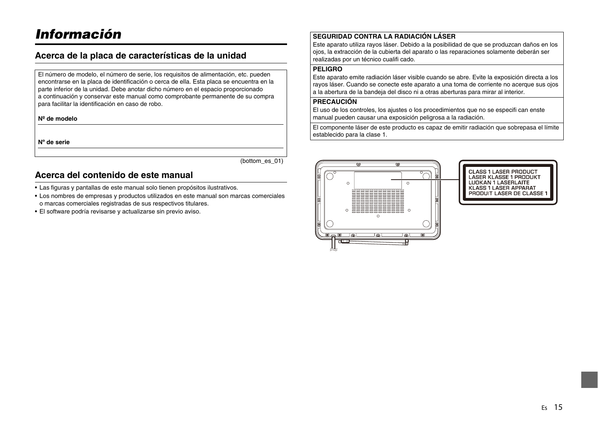### *Información*

#### **Acerca de la placa de características de la unidad**

El número de modelo, el número de serie, los requisitos de alimentación, etc. pueden encontrarse en la placa de identificación o cerca de ella. Esta placa se encuentra en la parte inferior de la unidad. Debe anotar dicho número en el espacio proporcionado a continuación y conservar este manual como comprobante permanente de su compra para facilitar la identificación en caso de robo.

**Nº de modelo**

**Nº de serie**

(bottom\_es\_01)

#### **Acerca del contenido de este manual**

- Las figuras y pantallas de este manual solo tienen propósitos ilustrativos.
- Los nombres de empresas y productos utilizados en este manual son marcas comerciales o marcas comerciales registradas de sus respectivos titulares.
- El software podría revisarse y actualizarse sin previo aviso.

#### **SEGURIDAD CONTRA LA RADIACIÓN LÁSER**

Este aparato utiliza rayos láser. Debido a la posibilidad de que se produzcan daños en los ojos, la extracción de la cubierta del aparato o las reparaciones solamente deberán ser realizadas por un técnico cualifi cado.

#### **PELIGRO**

Este aparato emite radiación láser visible cuando se abre. Evite la exposición directa a los rayos láser. Cuando se conecte este aparato a una toma de corriente no acerque sus ojos a la abertura de la bandeja del disco ni a otras aberturas para mirar al interior.

#### **PRECAUCIÓN**

El uso de los controles, los ajustes o los procedimientos que no se especifi can enste manual pueden causar una exposición peligrosa a la radiación.

El componente láser de este producto es capaz de emitir radiación que sobrepasa el límite establecido para la clase 1.



CLASS 1 LASER PRODUCT<br>LASER KLASSE 1 PRODUKT **LUOKAN 1 LASERLAITE EBORAN LEADEREATE**<br>KLASS 1 LASER APPARAT<br>PRODUIT LASER DE CLASSE 1